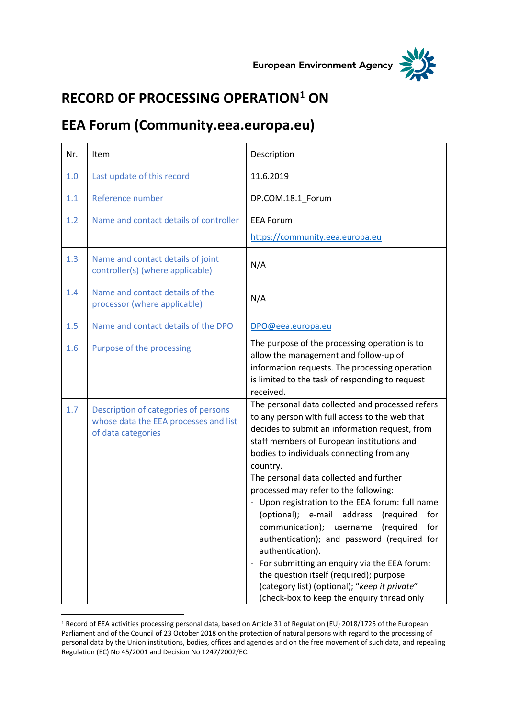



## **RECORD OF PROCESSING OPERATION<sup>1</sup> ON**

## **EEA Forum (Community.eea.europa.eu)**

| Nr. | Item                                                                                                | Description                                                                                                                                                                                                                                                                                                                                                                                                                                                                                                                                                                                                                                                                                                                                                |
|-----|-----------------------------------------------------------------------------------------------------|------------------------------------------------------------------------------------------------------------------------------------------------------------------------------------------------------------------------------------------------------------------------------------------------------------------------------------------------------------------------------------------------------------------------------------------------------------------------------------------------------------------------------------------------------------------------------------------------------------------------------------------------------------------------------------------------------------------------------------------------------------|
| 1.0 | Last update of this record                                                                          | 11.6.2019                                                                                                                                                                                                                                                                                                                                                                                                                                                                                                                                                                                                                                                                                                                                                  |
| 1.1 | Reference number                                                                                    | DP.COM.18.1_Forum                                                                                                                                                                                                                                                                                                                                                                                                                                                                                                                                                                                                                                                                                                                                          |
| 1.2 | Name and contact details of controller                                                              | <b>EEA Forum</b><br>https://community.eea.europa.eu                                                                                                                                                                                                                                                                                                                                                                                                                                                                                                                                                                                                                                                                                                        |
| 1.3 | Name and contact details of joint<br>controller(s) (where applicable)                               | N/A                                                                                                                                                                                                                                                                                                                                                                                                                                                                                                                                                                                                                                                                                                                                                        |
| 1.4 | Name and contact details of the<br>processor (where applicable)                                     | N/A                                                                                                                                                                                                                                                                                                                                                                                                                                                                                                                                                                                                                                                                                                                                                        |
| 1.5 | Name and contact details of the DPO                                                                 | DPO@eea.europa.eu                                                                                                                                                                                                                                                                                                                                                                                                                                                                                                                                                                                                                                                                                                                                          |
| 1.6 | Purpose of the processing                                                                           | The purpose of the processing operation is to<br>allow the management and follow-up of<br>information requests. The processing operation<br>is limited to the task of responding to request<br>received.                                                                                                                                                                                                                                                                                                                                                                                                                                                                                                                                                   |
| 1.7 | Description of categories of persons<br>whose data the EEA processes and list<br>of data categories | The personal data collected and processed refers<br>to any person with full access to the web that<br>decides to submit an information request, from<br>staff members of European institutions and<br>bodies to individuals connecting from any<br>country.<br>The personal data collected and further<br>processed may refer to the following:<br>- Upon registration to the EEA forum: full name<br>(optional); e-mail address (required for<br>communication); username (required<br>for<br>authentication); and password (required for<br>authentication).<br>- For submitting an enquiry via the EEA forum:<br>the question itself (required); purpose<br>(category list) (optional); "keep it private"<br>(check-box to keep the enquiry thread only |

<sup>1</sup> Record of EEA activities processing personal data, based on Article 31 of Regulation (EU) 2018/1725 of the European Parliament and of the Council of 23 October 2018 on the protection of natural persons with regard to the processing of personal data by the Union institutions, bodies, offices and agencies and on the free movement of such data, and repealing Regulation (EC) No 45/2001 and Decision No 1247/2002/EC.

 $\overline{a}$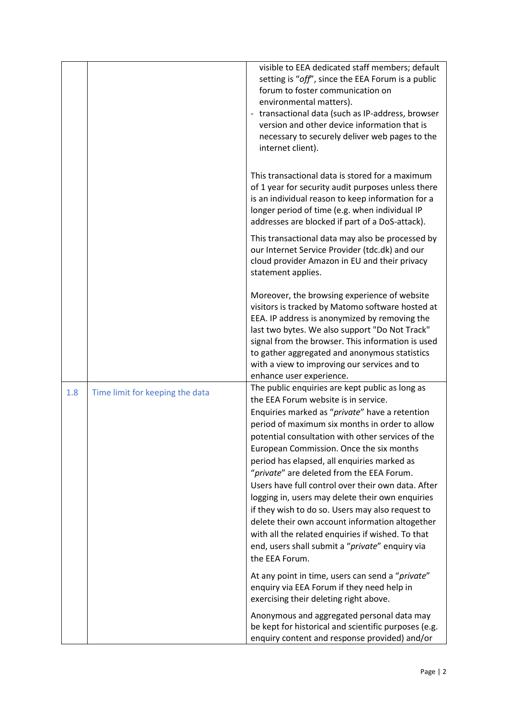|     |                                 | visible to EEA dedicated staff members; default<br>setting is "off", since the EEA Forum is a public<br>forum to foster communication on<br>environmental matters).<br>- transactional data (such as IP-address, browser<br>version and other device information that is<br>necessary to securely deliver web pages to the<br>internet client).                                                                                                                                                                                                                                                                                                                                                                                     |
|-----|---------------------------------|-------------------------------------------------------------------------------------------------------------------------------------------------------------------------------------------------------------------------------------------------------------------------------------------------------------------------------------------------------------------------------------------------------------------------------------------------------------------------------------------------------------------------------------------------------------------------------------------------------------------------------------------------------------------------------------------------------------------------------------|
|     |                                 | This transactional data is stored for a maximum<br>of 1 year for security audit purposes unless there<br>is an individual reason to keep information for a<br>longer period of time (e.g. when individual IP<br>addresses are blocked if part of a DoS-attack).                                                                                                                                                                                                                                                                                                                                                                                                                                                                     |
|     |                                 | This transactional data may also be processed by<br>our Internet Service Provider (tdc.dk) and our<br>cloud provider Amazon in EU and their privacy<br>statement applies.                                                                                                                                                                                                                                                                                                                                                                                                                                                                                                                                                           |
|     |                                 | Moreover, the browsing experience of website<br>visitors is tracked by Matomo software hosted at<br>EEA. IP address is anonymized by removing the<br>last two bytes. We also support "Do Not Track"<br>signal from the browser. This information is used<br>to gather aggregated and anonymous statistics<br>with a view to improving our services and to<br>enhance user experience.                                                                                                                                                                                                                                                                                                                                               |
| 1.8 | Time limit for keeping the data | The public enquiries are kept public as long as<br>the EEA Forum website is in service.<br>Enquiries marked as "private" have a retention<br>period of maximum six months in order to allow<br>potential consultation with other services of the<br>European Commission. Once the six months<br>period has elapsed, all enquiries marked as<br>"private" are deleted from the EEA Forum.<br>Users have full control over their own data. After<br>logging in, users may delete their own enquiries<br>if they wish to do so. Users may also request to<br>delete their own account information altogether<br>with all the related enquiries if wished. To that<br>end, users shall submit a "private" enquiry via<br>the EEA Forum. |
|     |                                 | At any point in time, users can send a "private"<br>enquiry via EEA Forum if they need help in<br>exercising their deleting right above.                                                                                                                                                                                                                                                                                                                                                                                                                                                                                                                                                                                            |
|     |                                 | Anonymous and aggregated personal data may<br>be kept for historical and scientific purposes (e.g.<br>enquiry content and response provided) and/or                                                                                                                                                                                                                                                                                                                                                                                                                                                                                                                                                                                 |